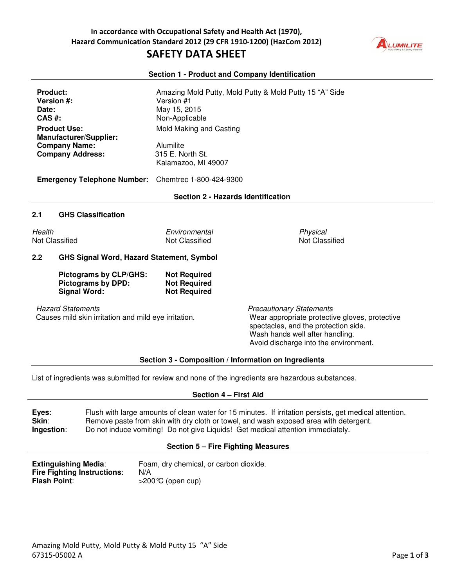

#### **Section 1 - Product and Company Identification**

| <b>Product:</b><br><b>Version #:</b><br>Date:<br>$CAS$ #:<br><b>Product Use:</b><br><b>Manufacturer/Supplier:</b><br><b>Company Name:</b><br><b>Company Address:</b><br><b>Emergency Telephone Number:</b> |                                                                            | Version #1<br>May 15, 2015<br>Non-Applicable<br>Mold Making and Casting | Amazing Mold Putty, Mold Putty & Mold Putty 15 "A" Side                                                                                                                                               |
|------------------------------------------------------------------------------------------------------------------------------------------------------------------------------------------------------------|----------------------------------------------------------------------------|-------------------------------------------------------------------------|-------------------------------------------------------------------------------------------------------------------------------------------------------------------------------------------------------|
|                                                                                                                                                                                                            |                                                                            | Alumilite<br>315 E. North St.<br>Kalamazoo, MI 49007                    |                                                                                                                                                                                                       |
|                                                                                                                                                                                                            |                                                                            | Chemtrec 1-800-424-9300                                                 |                                                                                                                                                                                                       |
|                                                                                                                                                                                                            |                                                                            | <b>Section 2 - Hazards Identification</b>                               |                                                                                                                                                                                                       |
| 2.1                                                                                                                                                                                                        | <b>GHS Classification</b>                                                  |                                                                         |                                                                                                                                                                                                       |
| Health                                                                                                                                                                                                     | Not Classified                                                             | Environmental<br>Not Classified                                         | Physical<br>Not Classified                                                                                                                                                                            |
| 2.2<br><b>GHS Signal Word, Hazard Statement, Symbol</b>                                                                                                                                                    |                                                                            |                                                                         |                                                                                                                                                                                                       |
|                                                                                                                                                                                                            | Pictograms by CLP/GHS:<br><b>Pictograms by DPD:</b><br><b>Signal Word:</b> | <b>Not Required</b><br><b>Not Required</b><br><b>Not Required</b>       |                                                                                                                                                                                                       |
| <b>Hazard Statements</b><br>Causes mild skin irritation and mild eye irritation.                                                                                                                           |                                                                            |                                                                         | <b>Precautionary Statements</b><br>Wear appropriate protective gloves, protective<br>spectacles, and the protection side.<br>Wash hands well after handling.<br>Avoid discharge into the environment. |
|                                                                                                                                                                                                            |                                                                            |                                                                         | Section 3 - Composition / Information on Ingredients                                                                                                                                                  |
|                                                                                                                                                                                                            |                                                                            |                                                                         | List of ingredients was submitted for review and none of the ingredients are hazardous substances.                                                                                                    |

#### **Section 4 – First Aid**

**Eyes**: Flush with large amounts of clean water for 15 minutes. If irritation persists, get medical attention. **Skin:** Remove paste from skin with dry cloth or towel, and wash exposed area with detergent. **Ingestion**: Do not induce vomiting! Do not give Liquids! Get medical attention immediately.

#### **Section 5 – Fire Fighting Measures**

**Extinguishing Media:** Foam, dry chemical, or carbon dioxide. **Fire Fighting Instructions: N/A<br><b>Flash Point:**  $>200$ >200°C (open cup)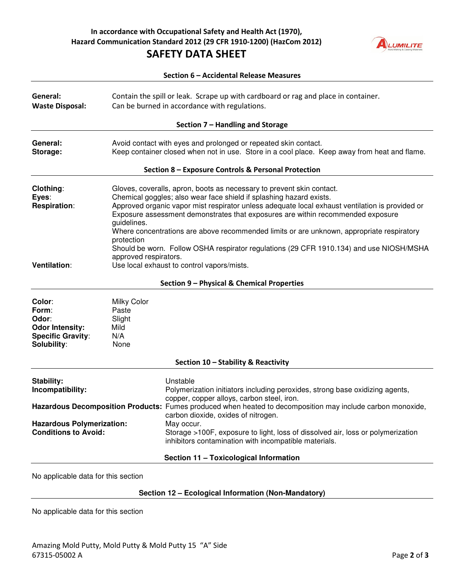### **In accordance with Occupational Safety and Health Act (1970), Hazard Communication Standard 2012 (29 CFR 1910-1200) (HazCom 2012) SAFETY DATA SHEET**



| Section 6 - Accidental Release Measures                                                       |                                                                                                                                                                 |                                                                                                                                                                                                                                                                                                                                                                                                                                                                                                                                                                          |  |
|-----------------------------------------------------------------------------------------------|-----------------------------------------------------------------------------------------------------------------------------------------------------------------|--------------------------------------------------------------------------------------------------------------------------------------------------------------------------------------------------------------------------------------------------------------------------------------------------------------------------------------------------------------------------------------------------------------------------------------------------------------------------------------------------------------------------------------------------------------------------|--|
| General:<br><b>Waste Disposal:</b>                                                            |                                                                                                                                                                 | Contain the spill or leak. Scrape up with cardboard or rag and place in container.<br>Can be burned in accordance with regulations.                                                                                                                                                                                                                                                                                                                                                                                                                                      |  |
|                                                                                               |                                                                                                                                                                 | Section 7 - Handling and Storage                                                                                                                                                                                                                                                                                                                                                                                                                                                                                                                                         |  |
| General:<br>Storage:                                                                          | Avoid contact with eyes and prolonged or repeated skin contact.<br>Keep container closed when not in use. Store in a cool place. Keep away from heat and flame. |                                                                                                                                                                                                                                                                                                                                                                                                                                                                                                                                                                          |  |
|                                                                                               |                                                                                                                                                                 | Section 8 - Exposure Controls & Personal Protection                                                                                                                                                                                                                                                                                                                                                                                                                                                                                                                      |  |
| Clothing:<br>Eyes:<br><b>Respiration:</b><br><b>Ventilation:</b>                              | guidelines.<br>protection<br>approved respirators.                                                                                                              | Gloves, coveralls, apron, boots as necessary to prevent skin contact.<br>Chemical goggles; also wear face shield if splashing hazard exists.<br>Approved organic vapor mist respirator unless adequate local exhaust ventilation is provided or<br>Exposure assessment demonstrates that exposures are within recommended exposure<br>Where concentrations are above recommended limits or are unknown, appropriate respiratory<br>Should be worn. Follow OSHA respirator regulations (29 CFR 1910.134) and use NIOSH/MSHA<br>Use local exhaust to control vapors/mists. |  |
|                                                                                               |                                                                                                                                                                 |                                                                                                                                                                                                                                                                                                                                                                                                                                                                                                                                                                          |  |
|                                                                                               |                                                                                                                                                                 | Section 9 - Physical & Chemical Properties                                                                                                                                                                                                                                                                                                                                                                                                                                                                                                                               |  |
| Color:<br>Form:<br>Odor:<br><b>Odor Intensity:</b><br><b>Specific Gravity:</b><br>Solubility: | <b>Milky Color</b><br>Paste<br>Slight<br>Mild<br>N/A<br>None                                                                                                    |                                                                                                                                                                                                                                                                                                                                                                                                                                                                                                                                                                          |  |
|                                                                                               |                                                                                                                                                                 | Section 10 - Stability & Reactivity                                                                                                                                                                                                                                                                                                                                                                                                                                                                                                                                      |  |
| Stability:<br>Incompatibility:                                                                |                                                                                                                                                                 | Unstable<br>Polymerization initiators including peroxides, strong base oxidizing agents,<br>copper, copper alloys, carbon steel, iron.                                                                                                                                                                                                                                                                                                                                                                                                                                   |  |
| <b>Hazardous Polymerization:</b><br><b>Conditions to Avoid:</b>                               |                                                                                                                                                                 | Hazardous Decomposition Products: Fumes produced when heated to decomposition may include carbon monoxide,<br>carbon dioxide, oxides of nitrogen.<br>May occur.<br>Storage >100F, exposure to light, loss of dissolved air, loss or polymerization<br>inhibitors contamination with incompatible materials.                                                                                                                                                                                                                                                              |  |
|                                                                                               |                                                                                                                                                                 | Section 11 - Toxicological Information                                                                                                                                                                                                                                                                                                                                                                                                                                                                                                                                   |  |
| No applicable data for this section                                                           |                                                                                                                                                                 |                                                                                                                                                                                                                                                                                                                                                                                                                                                                                                                                                                          |  |

### **Section 12 – Ecological Information (Non-Mandatory)**

No applicable data for this section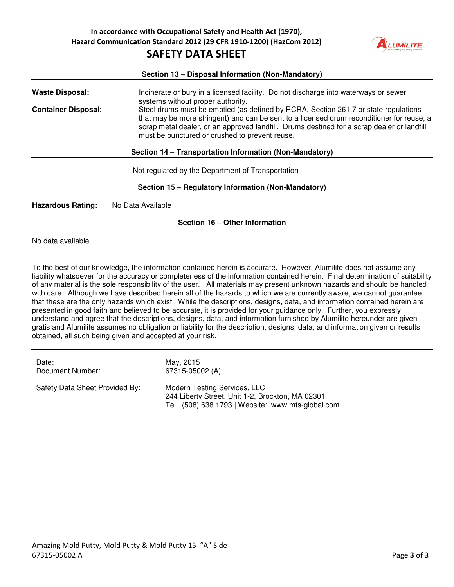

# **Section 13 – Disposal Information (Non-Mandatory)**  Waste Disposal: Incinerate or bury in a licensed facility. Do not discharge into waterways or sewer systems without proper authority. **Container Disposal:** Steel drums must be emptied (as defined by RCRA, Section 261.7 or state regulations that may be more stringent) and can be sent to a licensed drum reconditioner for reuse, a scrap metal dealer, or an approved landfill. Drums destined for a scrap dealer or landfill must be punctured or crushed to prevent reuse. **Section 14 – Transportation Information (Non-Mandatory)**  Not regulated by the Department of Transportation **Section 15 – Regulatory Information (Non-Mandatory) Hazardous Rating:** No Data Available **Section 16 – Other Information**

No data available

To the best of our knowledge, the information contained herein is accurate. However, Alumilite does not assume any liability whatsoever for the accuracy or completeness of the information contained herein. Final determination of suitability of any material is the sole responsibility of the user. All materials may present unknown hazards and should be handled with care. Although we have described herein all of the hazards to which we are currently aware, we cannot guarantee that these are the only hazards which exist. While the descriptions, designs, data, and information contained herein are presented in good faith and believed to be accurate, it is provided for your guidance only. Further, you expressly understand and agree that the descriptions, designs, data, and information furnished by Alumilite hereunder are given gratis and Alumilite assumes no obligation or liability for the description, designs, data, and information given or results obtained, all such being given and accepted at your risk.

| Date:                          | May, 2015                                                                                                                             |
|--------------------------------|---------------------------------------------------------------------------------------------------------------------------------------|
| Document Number:               | 67315-05002 (A)                                                                                                                       |
| Safety Data Sheet Provided By: | Modern Testing Services, LLC<br>244 Liberty Street, Unit 1-2, Brockton, MA 02301<br>Tel: (508) 638 1793   Website: www.mts-global.com |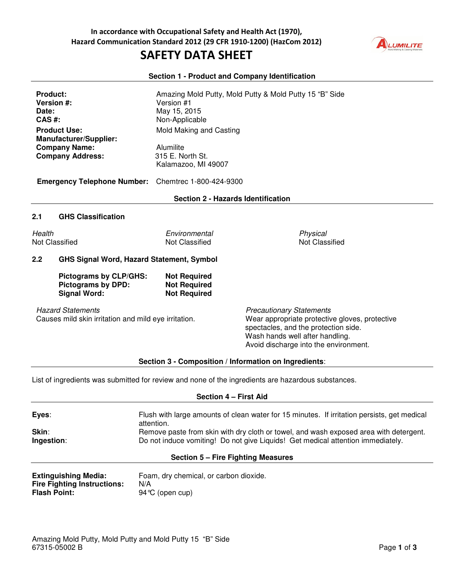## **SAFETY DATA SHEET**



### **Section 1 - Product and Company Identification**

| <b>Product:</b><br><b>Version #:</b><br>Date:<br>$CAS$ #:<br><b>Product Use:</b><br><b>Manufacturer/Supplier:</b><br><b>Company Name:</b><br><b>Company Address:</b> | Version #1<br>May 15, 2015<br>Non-Applicable<br>Mold Making and Casting<br>Alumilite<br>315 E. North St.<br>Kalamazoo, MI 49007 | Amazing Mold Putty, Mold Putty & Mold Putty 15 "B" Side                                                                                                                                                                                                      |
|----------------------------------------------------------------------------------------------------------------------------------------------------------------------|---------------------------------------------------------------------------------------------------------------------------------|--------------------------------------------------------------------------------------------------------------------------------------------------------------------------------------------------------------------------------------------------------------|
| <b>Emergency Telephone Number:</b>                                                                                                                                   | Chemtrec 1-800-424-9300<br><b>Section 2 - Hazards Identification</b>                                                            |                                                                                                                                                                                                                                                              |
|                                                                                                                                                                      |                                                                                                                                 |                                                                                                                                                                                                                                                              |
| 2.1<br><b>GHS Classification</b>                                                                                                                                     |                                                                                                                                 |                                                                                                                                                                                                                                                              |
| Health<br><b>Not Classified</b>                                                                                                                                      | Environmental<br><b>Not Classified</b>                                                                                          | Physical<br><b>Not Classified</b>                                                                                                                                                                                                                            |
| 2.2<br><b>GHS Signal Word, Hazard Statement, Symbol</b>                                                                                                              |                                                                                                                                 |                                                                                                                                                                                                                                                              |
| Pictograms by CLP/GHS:<br><b>Pictograms by DPD:</b><br><b>Signal Word:</b>                                                                                           | <b>Not Required</b><br><b>Not Required</b><br><b>Not Required</b>                                                               |                                                                                                                                                                                                                                                              |
| <b>Hazard Statements</b><br>Causes mild skin irritation and mild eye irritation.                                                                                     | $O_{\text{right}}$ $O_{\text{right}}$                                                                                           | <b>Precautionary Statements</b><br>Wear appropriate protective gloves, protective<br>spectacles, and the protection side.<br>Wash hands well after handling.<br>Avoid discharge into the environment.<br>sa sa iti sa 1 Indiana sa tang sa Inggresia tanta . |

**Section 3 - Composition / Information on Ingredients**:

List of ingredients was submitted for review and none of the ingredients are hazardous substances.

| Section 4 – First Aid                                                                    |                                                                                                                                                                          |  |
|------------------------------------------------------------------------------------------|--------------------------------------------------------------------------------------------------------------------------------------------------------------------------|--|
| Eyes:                                                                                    | Flush with large amounts of clean water for 15 minutes. If irritation persists, get medical<br>attention.                                                                |  |
| Skin:<br>Ingestion:                                                                      | Remove paste from skin with dry cloth or towel, and wash exposed area with detergent.<br>Do not induce vomiting! Do not give Liquids! Get medical attention immediately. |  |
|                                                                                          | Section 5 – Fire Fighting Measures                                                                                                                                       |  |
| <b>Extinguishing Media:</b><br><b>Fire Fighting Instructions:</b><br><b>Flash Point:</b> | Foam, dry chemical, or carbon dioxide.<br>N/A<br>94 °C (open cup)                                                                                                        |  |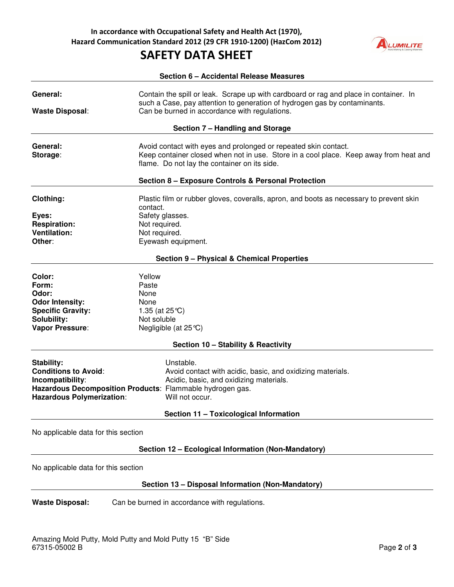## **SAFETY DATA SHEET**



|                                                                                                   | Section 6 - Accidental Release Measures                                                                                                                                                                             |
|---------------------------------------------------------------------------------------------------|---------------------------------------------------------------------------------------------------------------------------------------------------------------------------------------------------------------------|
| General:<br><b>Waste Disposal:</b>                                                                | Contain the spill or leak. Scrape up with cardboard or rag and place in container. In<br>such a Case, pay attention to generation of hydrogen gas by contaminants.<br>Can be burned in accordance with regulations. |
|                                                                                                   | Section 7 - Handling and Storage                                                                                                                                                                                    |
| General:<br>Storage:                                                                              | Avoid contact with eyes and prolonged or repeated skin contact.<br>Keep container closed when not in use. Store in a cool place. Keep away from heat and<br>flame. Do not lay the container on its side.            |
|                                                                                                   | Section 8 - Exposure Controls & Personal Protection                                                                                                                                                                 |
| Clothing:                                                                                         | Plastic film or rubber gloves, coveralls, apron, and boots as necessary to prevent skin<br>contact.                                                                                                                 |
| Eyes:<br><b>Respiration:</b><br><b>Ventilation:</b>                                               | Safety glasses.<br>Not required.<br>Not required.                                                                                                                                                                   |
| Other:                                                                                            | Eyewash equipment.                                                                                                                                                                                                  |
|                                                                                                   | <b>Section 9 - Physical &amp; Chemical Properties</b>                                                                                                                                                               |
| Color:                                                                                            | Yellow                                                                                                                                                                                                              |
| Form:<br>Odor:                                                                                    | Paste<br>None                                                                                                                                                                                                       |
| <b>Odor Intensity:</b>                                                                            | None                                                                                                                                                                                                                |
| <b>Specific Gravity:</b>                                                                          | 1.35 (at $25^{\circ}$ C)                                                                                                                                                                                            |
| Solubility:                                                                                       | Not soluble                                                                                                                                                                                                         |
| Vapor Pressure:                                                                                   | Negligible (at $25^{\circ}$ C)                                                                                                                                                                                      |
|                                                                                                   | Section 10 - Stability & Reactivity                                                                                                                                                                                 |
| Stability:<br><b>Conditions to Avoid:</b><br>Incompatibility:<br><b>Hazardous Polymerization:</b> | Unstable.<br>Avoid contact with acidic, basic, and oxidizing materials.<br>Acidic, basic, and oxidizing materials.<br>Hazardous Decomposition Products: Flammable hydrogen gas.<br>Will not occur.                  |
|                                                                                                   | Section 11 - Toxicological Information                                                                                                                                                                              |
| No applicable data for this section                                                               |                                                                                                                                                                                                                     |
|                                                                                                   | Section 12 - Ecological Information (Non-Mandatory)                                                                                                                                                                 |
| No applicable data for this section                                                               |                                                                                                                                                                                                                     |

### **Section 13 – Disposal Information (Non-Mandatory)**

**Waste Disposal:** Can be burned in accordance with regulations.